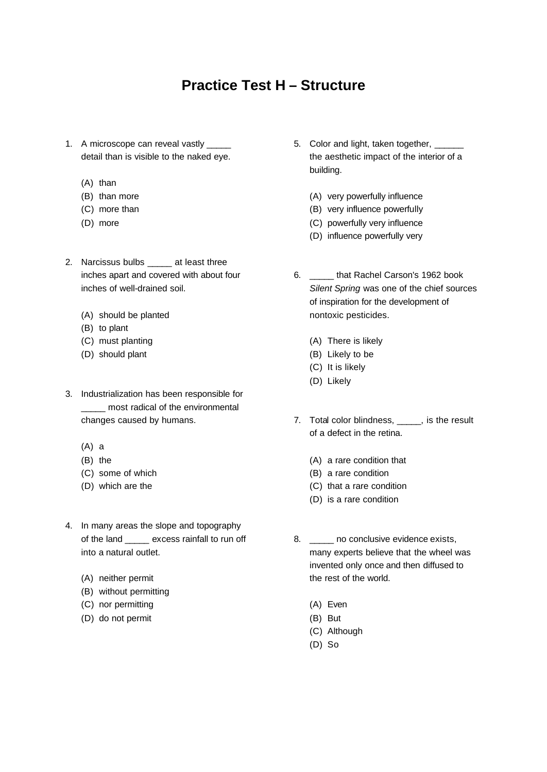## **Practice Test H – Structure**

- 1. A microscope can reveal vastly \_\_\_\_\_ detail than is visible to the naked eye.
	- (A) than
	- (B) than more
	- (C) more than
	- (D) more
- 2. Narcissus bulbs \_\_\_\_\_ at least three inches apart and covered with about four inches of well-drained soil.
	- (A) should be planted
	- (B) to plant
	- (C) must planting
	- (D) should plant
- 3. Industrialization has been responsible for \_\_\_\_\_ most radical of the environmental changes caused by humans.
	- (A) a
	- (B) the
	- (C) some of which
	- (D) which are the
- 4. In many areas the slope and topography of the land excess rainfall to run off into a natural outlet.
	- (A) neither permit
	- (B) without permitting
	- (C) nor permitting
	- (D) do not permit
- 5. Color and light, taken together, \_ the aesthetic impact of the interior of a building.
	- (A) very powerfully influence
	- (B) very influence powerfully
	- (C) powerfully very influence
	- (D) influence powerfully very
- 6. \_\_\_\_\_ that Rachel Carson's 1962 book *Silent Spring* was one of the chief sources of inspiration for the development of nontoxic pesticides.
	- (A) There is likely
	- (B) Likely to be
	- (C) It is likely
	- (D) Likely
- 7. Total color blindness, \_\_\_\_\_, is the result of a defect in the retina.
	- (A) a rare condition that
	- (B) a rare condition
	- (C) that a rare condition
	- (D) is a rare condition
- 8. \_\_\_\_\_ no conclusive evidence exists, many experts believe that the wheel was invented only once and then diffused to the rest of the world.
	- (A) Even
	- (B) But
	- (C) Although
	- (D) So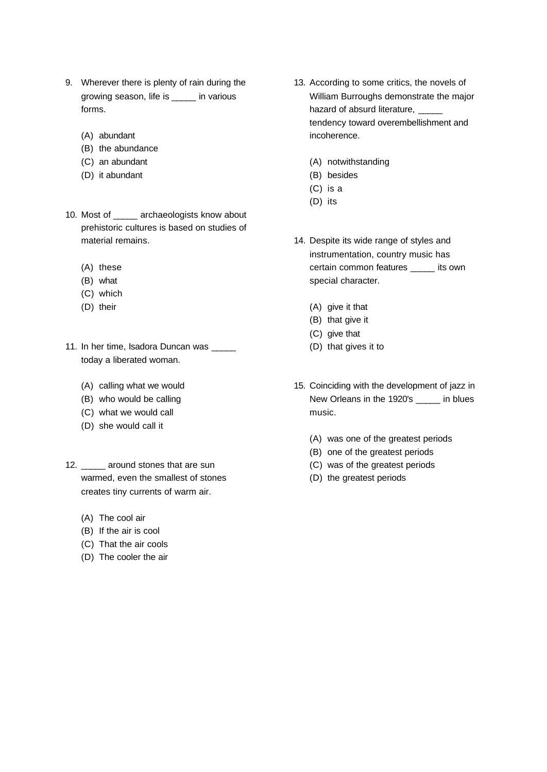- 9. Wherever there is plenty of rain during the growing season, life is \_\_\_\_\_ in various forms.
	- (A) abundant
	- (B) the abundance
	- (C) an abundant
	- (D) it abundant
- 10. Most of \_\_\_\_\_ archaeologists know about prehistoric cultures is based on studies of material remains.
	- (A) these
	- (B) what
	- (C) which
	- (D) their
- 11. In her time, Isadora Duncan was today a liberated woman.
	- (A) calling what we would
	- (B) who would be calling
	- (C) what we would call
	- (D) she would call it
- 12. \_\_\_\_\_ around stones that are sun warmed, even the smallest of stones creates tiny currents of warm air.
	- (A) The cool air
	- (B) If the air is cool
	- (C) That the air cools
	- (D) The cooler the air
- 13. According to some critics, the novels of William Burroughs demonstrate the major hazard of absurd literature, tendency toward overembellishment and incoherence.
	- (A) notwithstanding
	- (B) besides
	- (C) is a
	- (D) its
- 14. Despite its wide range of styles and instrumentation, country music has certain common features \_\_\_\_\_ its own special character.
	- (A) give it that
	- (B) that give it
	- (C) give that
	- (D) that gives it to
- 15. Coinciding with the development of jazz in New Orleans in the 1920's \_\_\_\_\_ in blues music.
	- (A) was one of the greatest periods
	- (B) one of the greatest periods
	- (C) was of the greatest periods
	- (D) the greatest periods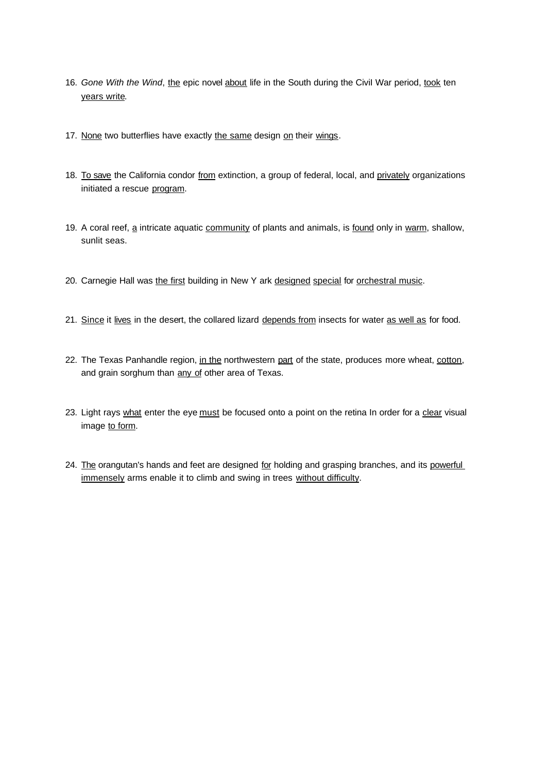- 16. Gone With the Wind, the epic novel about life in the South during the Civil War period, took ten years write.
- 17. None two butterflies have exactly the same design on their wings.
- 18. To save the California condor from extinction, a group of federal, local, and privately organizations initiated a rescue program.
- 19. A coral reef, a intricate aquatic community of plants and animals, is found only in warm, shallow, sunlit seas.
- 20. Carnegie Hall was the first building in New Y ark designed special for orchestral music.
- 21. Since it lives in the desert, the collared lizard depends from insects for water as well as for food.
- 22. The Texas Panhandle region, in the northwestern part of the state, produces more wheat, cotton, and grain sorghum than any of other area of Texas.
- 23. Light rays what enter the eye must be focused onto a point on the retina In order for a clear visual image to form.
- 24. The orangutan's hands and feet are designed for holding and grasping branches, and its powerful immensely arms enable it to climb and swing in trees without difficulty.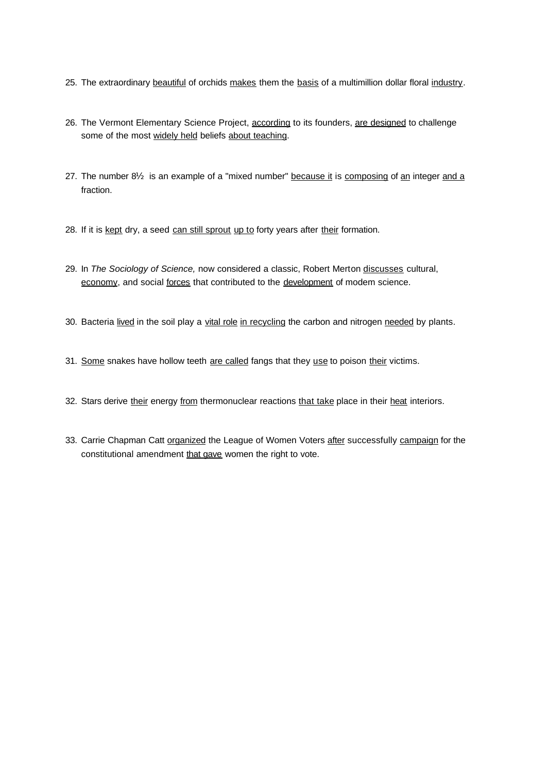- 25. The extraordinary beautiful of orchids makes them the basis of a multimillion dollar floral industry.
- 26. The Vermont Elementary Science Project, according to its founders, are designed to challenge some of the most widely held beliefs about teaching.
- 27. The number  $8\frac{1}{2}$  is an example of a "mixed number" because it is composing of an integer and a fraction.
- 28. If it is kept dry, a seed can still sprout up to forty years after their formation.
- 29. In *The Sociology of Science,* now considered a classic, Robert Merton discusses cultural, economy, and social forces that contributed to the development of modem science.
- 30. Bacteria lived in the soil play a vital role in recycling the carbon and nitrogen needed by plants.
- 31. Some snakes have hollow teeth are called fangs that they use to poison their victims.
- 32. Stars derive their energy from thermonuclear reactions that take place in their heat interiors.
- 33. Carrie Chapman Catt organized the League of Women Voters after successfully campaign for the constitutional amendment that gave women the right to vote.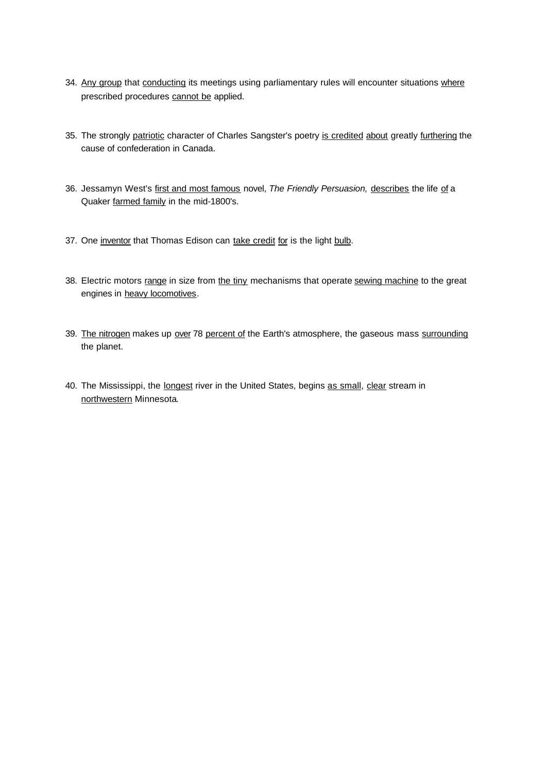- 34. Any group that conducting its meetings using parliamentary rules will encounter situations where prescribed procedures cannot be applied.
- 35. The strongly patriotic character of Charles Sangster's poetry is credited about greatly furthering the cause of confederation in Canada.
- 36. Jessamyn West's first and most famous novel, *The Friendly Persuasion,* describes the life of a Quaker farmed family in the mid-1800's.
- 37. One inventor that Thomas Edison can take credit for is the light bulb.
- 38. Electric motors range in size from the tiny mechanisms that operate sewing machine to the great engines in heavy locomotives.
- 39. The nitrogen makes up over 78 percent of the Earth's atmosphere, the gaseous mass surrounding the planet.
- 40. The Mississippi, the longest river in the United States, begins as small, clear stream in northwestern Minnesota.